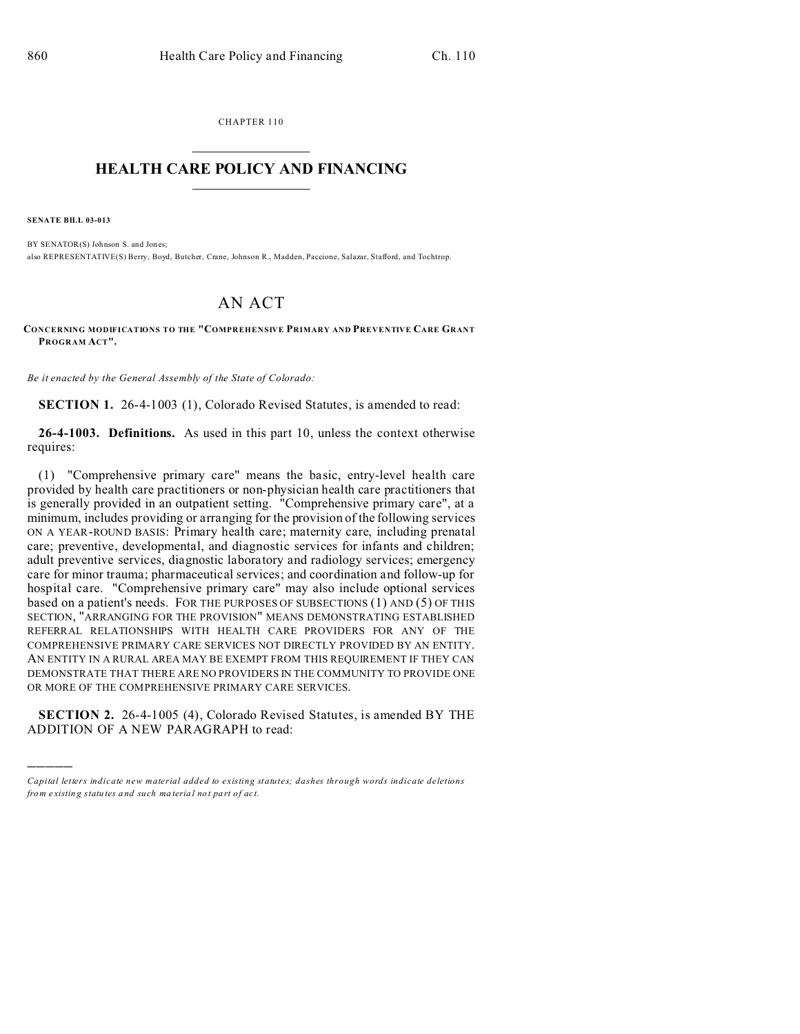CHAPTER 110

## **HEALTH CARE POLICY AND FINANCING**

**SENATE BILL 03-013** 

BY SENATOR(S) Johnson S. and Jones; also REPRESENTATIVE(S) Berry, Boyd, Butcher, Crane, Johnson R., Madden, Paccione, Salazar, Stafford, and Tochtrop,

## **AN ACT**

CONCERNING MODIFICATIONS TO THE "COMPREHENSIVE PRIMARY AND PREVENTIVE CARE GRANT PROGRAM ACT".

Be it enacted by the General Assembly of the State of Colorado:

**SECTION 1.** 26-4-1003 (1), Colorado Revised Statures, is amended to read:

**26-4-1003. Definitions.** As used in this part 10, unless the context otherwise requires:

(1) "Comprehensive primary care" means the basic, entry-level health care provided by health care practitioners or non-physician health care practitioners that is generally provided in an outpatient setting. "Comprehensive primary care", at a minimum, includes providing or arranging for the provision of the following services ON A YEAR-ROUND BASIS: Primary health care; maternity care, including prenatal care; preventive, developmental, and diagnostic services for infants and children; adult preventive services, diagnostic laboratory and radiology services; emergency care for minor trauma; pharmaceutical services; and coordination and follow-up for hospital care. "Comprehensive primary care" may also include optional services based on a patient's needs. FOR THE PURPOSES OF SUBSECTIONS  $(1)$  AND  $(5)$  OF THIS SECTION, "ARRANGING FOR THE PROVISION" MEANS DEMONSTRATING ESTABLISHED REFERRAL RELATIONSHIPS WITH HEALTH CARE PROVIDERS FOR ANY OF THE COMPREHENSIVE PRIMARY CARE SERVICES NOT DIRECTLY PROVIDED BY AN ENTITY. AN ENTITY IN A RURAL AREA MAY BE EXEMPT FROM THIS REQUIREMENT IF THEY CAN DEMONSTRATE THAT THERE ARE NO PROVIDERS IN THE COMMUNITY TO PROVIDE ONE OR MORE OF THE COMPREHENSIVE PRIMARY CARE SERVICES.

**SECTION 2.** 26-4-1005 (4), Colorado Revised Statures, is amended BY THE ADDITION OF A NEW PARAGRAPH to read:

Capital letters indicate new material added to existing statutes; dashes through words indicate deletions from existing statutes and such material not part of act.